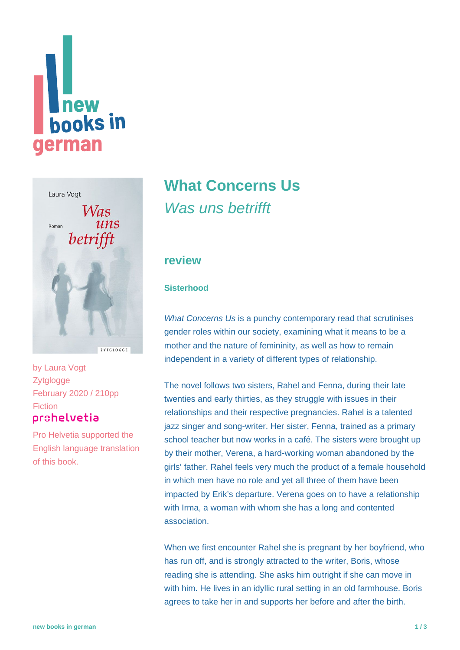



by [Laura Vogt](https://www.new-books-in-german.com/recommendations/?searchInput=Laura%20Vogt) **Zytglogge** February 2020 / 210pp **Fiction** prohelvetia

Pro Helvetia supported the English language translation of this book.

# **[What Concerns Us](https://www.new-books-in-german.com/recommendations/what-concerns-us/)**

Was uns betrifft

### **review**

#### **Sisterhood**

What Concerns Us is a punchy contemporary read that scrutinises gender roles within our society, examining what it means to be a mother and the nature of femininity, as well as how to remain independent in a variety of different types of relationship.

The novel follows two sisters, Rahel and Fenna, during their late twenties and early thirties, as they struggle with issues in their relationships and their respective pregnancies. Rahel is a talented jazz singer and song-writer. Her sister, Fenna, trained as a primary school teacher but now works in a café. The sisters were brought up by their mother, Verena, a hard-working woman abandoned by the girls' father. Rahel feels very much the product of a female household in which men have no role and yet all three of them have been impacted by Erik's departure. Verena goes on to have a relationship with Irma, a woman with whom she has a long and contented association.

When we first encounter Rahel she is pregnant by her boyfriend, who has run off, and is strongly attracted to the writer, Boris, whose reading she is attending. She asks him outright if she can move in with him. He lives in an idyllic rural setting in an old farmhouse. Boris agrees to take her in and supports her before and after the birth.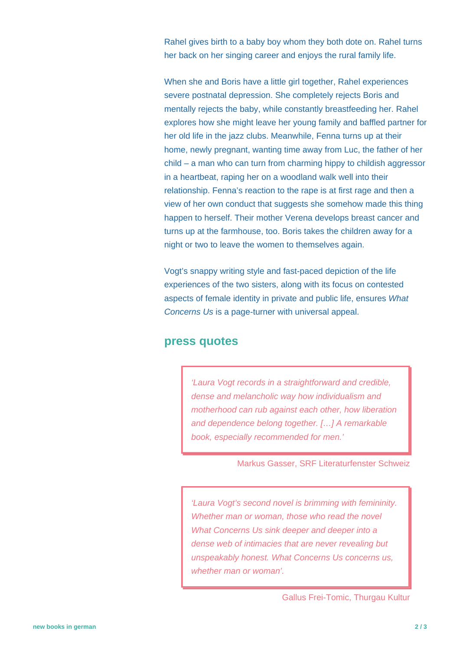Rahel gives birth to a baby boy whom they both dote on. Rahel turns her back on her singing career and enjoys the rural family life.

When she and Boris have a little girl together, Rahel experiences severe postnatal depression. She completely rejects Boris and mentally rejects the baby, while constantly breastfeeding her. Rahel explores how she might leave her young family and baffled partner for her old life in the jazz clubs. Meanwhile, Fenna turns up at their home, newly pregnant, wanting time away from Luc, the father of her child – a man who can turn from charming hippy to childish aggressor in a heartbeat, raping her on a woodland walk well into their relationship. Fenna's reaction to the rape is at first rage and then a view of her own conduct that suggests she somehow made this thing happen to herself. Their mother Verena develops breast cancer and turns up at the farmhouse, too. Boris takes the children away for a night or two to leave the women to themselves again.

Vogt's snappy writing style and fast-paced depiction of the life experiences of the two sisters, along with its focus on contested aspects of female identity in private and public life, ensures What Concerns Us is a page-turner with universal appeal.

### **press quotes**

'Laura Vogt records in a straightforward and credible, dense and melancholic way how individualism and motherhood can rub against each other, how liberation and dependence belong together. […] A remarkable book, especially recommended for men.'

Markus Gasser, SRF Literaturfenster Schweiz

'Laura Vogt's second novel is brimming with femininity. Whether man or woman, those who read the novel What Concerns Us sink deeper and deeper into a dense web of intimacies that are never revealing but unspeakably honest. What Concerns Us concerns us, whether man or woman'.

Gallus Frei-Tomic, Thurgau Kultur